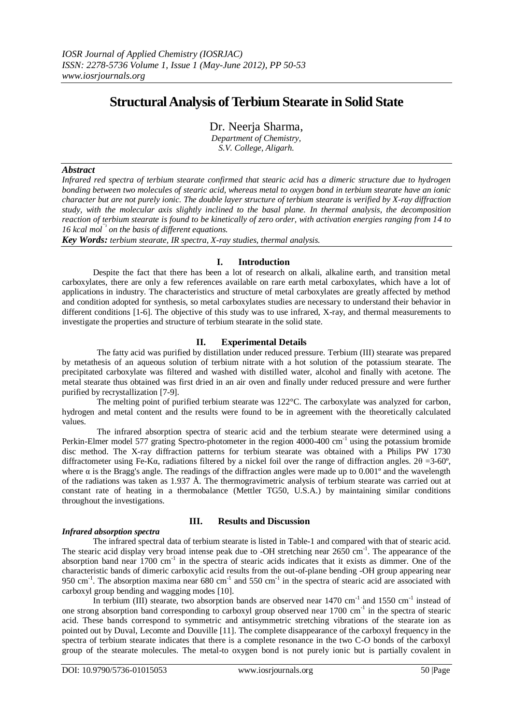# **Structural Analysis of Terbium Stearate in Solid State**

Dr. Neerja Sharma,

*Department of Chemistry, S.V. College, Aligarh.*

## *Abstract*

*Infrared red spectra of terbium stearate confirmed that stearic acid has a dimeric structure due to hydrogen bonding between two molecules of stearic acid, whereas metal to oxygen bond in terbium stearate have an ionic character but are not purely ionic. The double layer structure of terbium stearate is verified by X-ray diffraction study, with the molecular axis slightly inclined to the basal plane. In thermal analysis, the decomposition reaction of terbium stearate is found to be kinetically of zero order, with activation energies ranging from 14 to 16 kcal* mol<sup> $\frac{1}{2}$  *on the basis of different equations.*</sup>

*Key Words: terbium stearate, IR spectra, X-ray studies, thermal analysis.*

## **I. Introduction**

Despite the fact that there has been a lot of research on alkali, alkaline earth, and transition metal carboxylates, there are only a few references available on rare earth metal carboxylates, which have a lot of applications in industry. The characteristics and structure of metal carboxylates are greatly affected by method and condition adopted for synthesis, so metal carboxylates studies are necessary to understand their behavior in different conditions [1-6]. The objective of this study was to use infrared, X-ray, and thermal measurements to investigate the properties and structure of terbium stearate in the solid state.

# **II. Experimental Details**

The fatty acid was purified by distillation under reduced pressure. Terbium (III) stearate was prepared by metathesis of an aqueous solution of terbium nitrate with a hot solution of the potassium stearate. The precipitated carboxylate was filtered and washed with distilled water, alcohol and finally with acetone. The metal stearate thus obtained was first dried in an air oven and finally under reduced pressure and were further purified by recrystallization [7-9].

The melting point of purified terbium stearate was  $122^{\circ}$ C. The carboxylate was analyzed for carbon, hydrogen and metal content and the results were found to be in agreement with the theoretically calculated values.

The infrared absorption spectra of stearic acid and the terbium stearate were determined using a Perkin-Elmer model 577 grating Spectro-photometer in the region 4000-400 cm<sup>-1</sup> using the potassium bromide disc method. The X-ray diffraction patterns for terbium stearate was obtained with a Philips PW 1730 diffractometer using Fe-K $\alpha$ , radiations filtered by a nickel foil over the range of diffraction angles. 2 $\theta = 3-60^{\circ}$ , where  $\alpha$  is the Bragg's angle. The readings of the diffraction angles were made up to 0.001° and the wavelength of the radiations was taken as 1.937 Å. The thermogravimetric analysis of terbium stearate was carried out at constant rate of heating in a thermobalance (Mettler TG50, U.S.A.) by maintaining similar conditions throughout the investigations.

## *Infrared absorption spectra*

# **III. Results and Discussion**

The infrared spectral data of terbium stearate is listed in Table-1 and compared with that of stearic acid. The stearic acid display very broad intense peak due to -OH stretching near  $2650 \text{ cm}^{-1}$ . The appearance of the absorption band near 1700 cm<sup>-1</sup> in the spectra of stearic acids indicates that it exists as dimmer. One of the characteristic bands of dimeric carboxylic acid results from the out-of-plane bending -OH group appearing near 950 cm<sup>-1</sup>. The absorption maxima near 680 cm<sup>-1</sup> and 550 cm<sup>-1</sup> in the spectra of stearic acid are associated with carboxyl group bending and wagging modes [10].

In terbium (III) stearate, two absorption bands are observed near 1470 cm<sup>-1</sup> and 1550 cm<sup>-1</sup> instead of one strong absorption band corresponding to carboxyl group observed near 1700 cm<sup>-1</sup> in the spectra of stearic acid. These bands correspond to symmetric and antisymmetric stretching vibrations of the stearate ion as pointed out by Duval, Lecomte and Douville [11]. The complete disappearance of the carboxyl frequency in the spectra of terbium stearate indicates that there is a complete resonance in the two C-O bonds of the carboxyl group of the stearate molecules. The metal-to oxygen bond is not purely ionic but is partially covalent in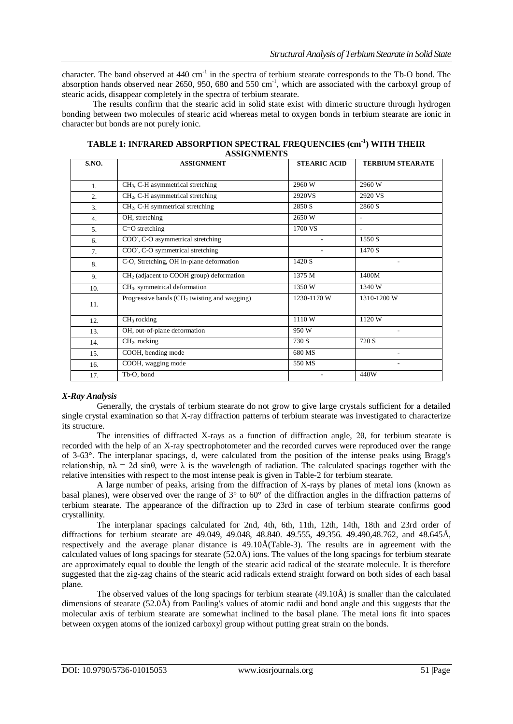character. The band observed at 440 cm<sup>-1</sup> in the spectra of terbium stearate corresponds to the Tb-O bond. The absorption hands observed near 2650, 950, 680 and 550  $cm^{-1}$ , which are associated with the carboxyl group of stearic acids, disappear completely in the spectra of terbium stearate.

The results confirm that the stearic acid in solid state exist with dimeric structure through hydrogen bonding between two molecules of stearic acid whereas metal to oxygen bonds in terbium stearate are ionic in character but bonds are not purely ionic.

| S.NO.          | <b>ASSIGNMENT</b>                              | <b>STEARIC ACID</b> | <b>TERBIUM STEARATE</b> |
|----------------|------------------------------------------------|---------------------|-------------------------|
|                |                                                |                     |                         |
| $\mathbf{1}$ . | $CH3$ , C-H asymmetrical stretching            | 2960W               | 2960 W                  |
| 2.             | $CH2$ , C-H asymmetrical stretching            | 2920VS              | 2920 VS                 |
| 3.             | $CH2$ , C-H symmetrical stretching             | 2850 S              | 2860 S                  |
| 4.             | OH, stretching                                 | 2650W               |                         |
| 5.             | $C=O$ stretching                               | 1700 VS             | $\overline{a}$          |
| 6.             | COO, C-O asymmetrical stretching               |                     | 1550 S                  |
| 7.             | COO, C-O symmetrical stretching                |                     | 1470 S                  |
| 8.             | C-O, Stretching, OH in-plane deformation       | 1420 S              |                         |
| 9.             | $CH2$ (adjacent to COOH group) deformation     | 1375 M              | 1400M                   |
| 10.            | $CH3$ , symmetrical deformation                | 1350W               | 1340 W                  |
| 11.            | Progressive bands $(CH2$ twisting and wagging) | 1230-1170 W         | 1310-1200 W             |
| 12.            | $CH3$ rocking                                  | 1110W               | 1120 W                  |
| 13.            | OH, out-of-plane deformation                   | 950W                | ٠                       |
| 14.            | $CH2$ , rocking                                | 730 S               | 720 S                   |
| 15.            | COOH, bending mode                             | 680 MS              |                         |
| 16.            | COOH, wagging mode                             | 550 MS              |                         |
| 17.            | Tb-O, bond                                     |                     | 440W                    |

**TABLE 1: INFRARED ABSORPTION SPECTRAL FREQUENCIES (cm-1 ) WITH THEIR ASSIGNMENTS**

# *X-Ray Analysis*

Generally, the crystals of terbium stearate do not grow to give large crystals sufficient for a detailed single crystal examination so that X-ray diffraction patterns of terbium stearate was investigated to characterize its structure.

The intensities of diffracted X-rays as a function of diffraction angle, 2θ, for terbium stearate is recorded with the help of an X-ray spectrophotometer and the recorded curves were reproduced over the range of 3-63°. The interplanar spacings, d, were calculated from the position of the intense peaks using Bragg's relationship,  $n\lambda = 2d \sin\theta$ , were  $\lambda$  is the wavelength of radiation. The calculated spacings together with the relative intensities with respect to the most intense peak is given in Table-2 for terbium stearate.

A large number of peaks, arising from the diffraction of X-rays by planes of metal ions (known as basal planes), were observed over the range of 3° to 60° of the diffraction angles in the diffraction patterns of terbium stearate. The appearance of the diffraction up to 23rd in case of terbium stearate confirms good crystallinity.

The interplanar spacings calculated for 2nd, 4th, 6th, 11th, 12th, 14th, 18th and 23rd order of diffractions for terbium stearate are 49.049, 49.048, 48.840. 49.555, 49.356. 49.490,48.762, and 48.645Å, respectively and the average planar distance is 49.10Å(Table-3). The results are in agreement with the calculated values of long spacings for stearate (52.0Å) ions. The values of the long spacings for terbium stearate are approximately equal to double the length of the stearic acid radical of the stearate molecule. It is therefore suggested that the zig-zag chains of the stearic acid radicals extend straight forward on both sides of each basal plane.

The observed values of the long spacings for terbium stearate (49.10Å) is smaller than the calculated dimensions of stearate (52.0Å) from Pauling's values of atomic radii and bond angle and this suggests that the molecular axis of terbium stearate are somewhat inclined to the basal plane. The metal ions fit into spaces between oxygen atoms of the ionized carboxyl group without putting great strain on the bonds.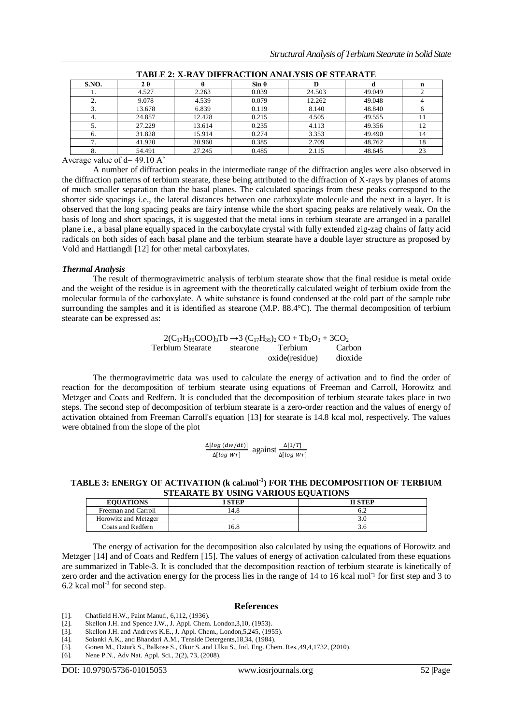| TADLE 2. A-NAT DIFFNACTION ANALTSIS OF STEANATE |        |        |              |        |        |    |
|-------------------------------------------------|--------|--------|--------------|--------|--------|----|
| S.NO.                                           | 2θ     |        | $Sin \theta$ |        |        | n  |
|                                                 | 4.527  | 2.263  | 0.039        | 24.503 | 49.049 |    |
|                                                 | 9.078  | 4.539  | 0.079        | 12.262 | 49.048 |    |
|                                                 | 13.678 | 6.839  | 0.119        | 8.140  | 48.840 |    |
| 4.                                              | 24.857 | 12.428 | 0.215        | 4.505  | 49.555 |    |
|                                                 | 27.229 | 13.614 | 0.235        | 4.113  | 49.356 | 12 |
| h.                                              | 31.828 | 15.914 | 0.274        | 3.353  | 49.490 | 14 |
|                                                 | 41.920 | 20.960 | 0.385        | 2.709  | 48.762 | 18 |
|                                                 | 54.491 | 27.245 | 0.485        | 2.115  | 48.645 | 23 |

Average value of  $d=49.10 \text{ A}^{\circ}$ 

A number of diffraction peaks in the intermediate range of the diffraction angles were also observed in the diffraction patterns of terbium stearate, these being attributed to the diffraction of X-rays by planes of atoms of much smaller separation than the basal planes. The calculated spacings from these peaks correspond to the shorter side spacings i.e., the lateral distances between one carboxylate molecule and the next in a layer. It is observed that the long spacing peaks are fairy intense while the short spacing peaks are relatively weak. On the basis of long and short spacings, it is suggested that the metal ions in terbium stearate are arranged in a parallel plane i.e., a basal plane equally spaced in the carboxylate crystal with fully extended zig-zag chains of fatty acid radicals on both sides of each basal plane and the terbium stearate have a double layer structure as proposed by Vold and Hattiangdi [12] for other metal carboxylates.

### *Thermal Analysis*

The result of thermogravimetric analysis of terbium stearate show that the final residue is metal oxide and the weight of the residue is in agreement with the theoretically calculated weight of terbium oxide from the molecular formula of the carboxylate. A white substance is found condensed at the cold part of the sample tube surrounding the samples and it is identified as stearone (M.P. 88.4°C). The thermal decomposition of terbium stearate can be expressed as:

> $2(C_{17}H_{35}COO_{3}Tb \rightarrow 3 (C_{17}H_{35})_{2}CO + Tb_{2}O_{3} + 3CO_{2}$ <br>
> bium Stearate stearone Terbium Carl Terbium Stearate stearone oxide(residue) Carbon dioxide

The thermogravimetric data was used to calculate the energy of activation and to find the order of reaction for the decomposition of terbium stearate using equations of Freeman and Carroll, Horowitz and Metzger and Coats and Redfern. It is concluded that the decomposition of terbium stearate takes place in two steps. The second step of decomposition of terbium stearate is a zero-order reaction and the values of energy of activation obtained from Freeman Carroll's equation [13] for stearate is 14.8 kcal mol, respectively. The values were obtained from the slope of the plot

| $\Delta \left[ \log \left( \frac{dw}{dt} \right) \right]$ | $\frac{1}{1}$ against $\frac{1}{1}$ . | $\Delta$ [1/T]                  |
|-----------------------------------------------------------|---------------------------------------|---------------------------------|
| $\Delta$ [log Wr]                                         |                                       | $\Delta \left[ \log Wr \right]$ |

## **TABLE 3: ENERGY OF ACTIVATION (k cal.mol-1 ) FOR THE DECOMPOSITION OF TERBIUM STEARATE BY USING VARIOUS EQUATIONS**

| <b>EQUATIONS</b>     | <b>STEP</b> | <b>II STEP</b> |
|----------------------|-------------|----------------|
| Freeman and Carroll  | '4.8        | b.2            |
| Horowitz and Metzger | -           |                |
| Coats and Redfern    | 16.8        |                |

The energy of activation for the decomposition also calculated by using the equations of Horowitz and Metzger [14] and of Coats and Redfern [15]. The values of energy of activation calculated from these equations are summarized in Table-3. It is concluded that the decomposition reaction of terbium stearate is kinetically of zero order and the activation energy for the process lies in the range of 14 to 16 kcal mol<sup>1</sup> for first step and 3 to 6.2 kcal mol<sup>-1</sup> for second step.

#### **References**

[1]. Chatfield H.W., Paint Manuf., 6,112, (1936).

- [2]. Skellon J.H. and Spence J.W., J. Appl. Chem. London,3,10, (1953).
- [3]. Skellon J.H. and Andrews K.E., J. Appl. Chem., London, 5, 245, (1955).<br>[4]. Solanki A.K., and Bhandari A.M., Tenside Detergents, 18, 34, (1984).
- Solanki A.K., and Bhandari A.M., Tenside Detergents, 18,34, (1984).
- [5]. Gonen M., Ozturk S., Balkose S., Okur S. and Ulku S., Ind. Eng. Chem. Res.,49,4,1732, (2010).
- [6]. Nene P.N., Adv Nat. Appl. Sci., 2(2), 73, (2008).